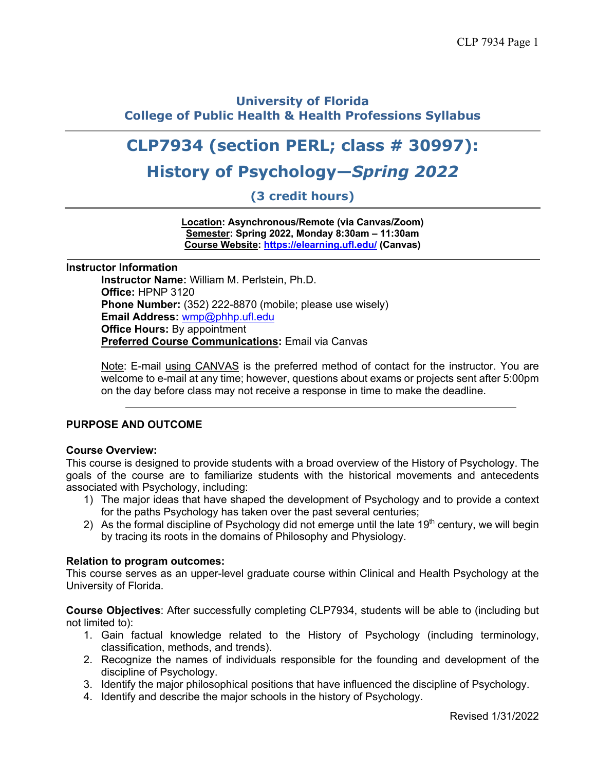## **University of Florida College of Public Health & Health Professions Syllabus**

# **CLP7934 (section PERL; class # 30997):**

# **History of Psychology—***Spring 2022*

**(3 credit hours)**

**Location: Asynchronous/Remote (via Canvas/Zoom) Semester: Spring 2022, Monday 8:30am – 11:30am Course Website: https://elearning.ufl.edu/ (Canvas)**

#### **Instructor Information**

**Instructor Name:** William M. Perlstein, Ph.D. **Office:** HPNP 3120 **Phone Number:** (352) 222-8870 (mobile; please use wisely) **Email Address:** wmp@phhp.ufl.edu **Office Hours:** By appointment **Preferred Course Communications:** Email via Canvas

Note: E-mail using CANVAS is the preferred method of contact for the instructor. You are welcome to e-mail at any time; however, questions about exams or projects sent after 5:00pm on the day before class may not receive a response in time to make the deadline.

## **PURPOSE AND OUTCOME**

#### **Course Overview:**

This course is designed to provide students with a broad overview of the History of Psychology. The goals of the course are to familiarize students with the historical movements and antecedents associated with Psychology, including:

- 1) The major ideas that have shaped the development of Psychology and to provide a context for the paths Psychology has taken over the past several centuries;
- 2) As the formal discipline of Psychology did not emerge until the late  $19<sup>th</sup>$  century, we will begin by tracing its roots in the domains of Philosophy and Physiology.

#### **Relation to program outcomes:**

This course serves as an upper-level graduate course within Clinical and Health Psychology at the University of Florida.

**Course Objectives**: After successfully completing CLP7934, students will be able to (including but not limited to):

- 1. Gain factual knowledge related to the History of Psychology (including terminology, classification, methods, and trends).
- 2. Recognize the names of individuals responsible for the founding and development of the discipline of Psychology.
- 3. Identify the major philosophical positions that have influenced the discipline of Psychology.
- 4. Identify and describe the major schools in the history of Psychology.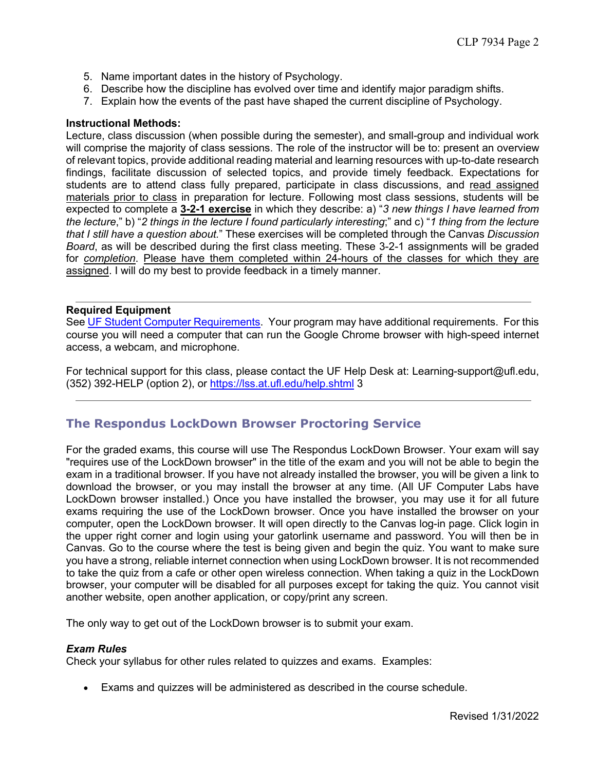- 5. Name important dates in the history of Psychology.
- 6. Describe how the discipline has evolved over time and identify major paradigm shifts.
- 7. Explain how the events of the past have shaped the current discipline of Psychology.

#### **Instructional Methods:**

Lecture, class discussion (when possible during the semester), and small-group and individual work will comprise the majority of class sessions. The role of the instructor will be to: present an overview of relevant topics, provide additional reading material and learning resources with up-to-date research findings, facilitate discussion of selected topics, and provide timely feedback. Expectations for students are to attend class fully prepared, participate in class discussions, and read assigned materials prior to class in preparation for lecture. Following most class sessions, students will be expected to complete a **3-2-1 exercise** in which they describe: a) "*3 new things I have learned from the lecture*," b) "*2 things in the lecture I found particularly interesting*;" and c) "*1 thing from the lecture that I still have a question about.*" These exercises will be completed through the Canvas *Discussion Board*, as will be described during the first class meeting. These 3-2-1 assignments will be graded for *completion*. Please have them completed within 24-hours of the classes for which they are assigned. I will do my best to provide feedback in a timely manner.

#### **Required Equipment**

See UF Student Computer Requirements. Your program may have additional requirements. For this course you will need a computer that can run the Google Chrome browser with high-speed internet access, a webcam, and microphone.

For technical support for this class, please contact the UF Help Desk at: Learning-support@ufl.edu, (352) 392-HELP (option 2), or https://lss.at.ufl.edu/help.shtml 3

## **The Respondus LockDown Browser Proctoring Service**

For the graded exams, this course will use The Respondus LockDown Browser. Your exam will say "requires use of the LockDown browser" in the title of the exam and you will not be able to begin the exam in a traditional browser. If you have not already installed the browser, you will be given a link to download the browser, or you may install the browser at any time. (All UF Computer Labs have LockDown browser installed.) Once you have installed the browser, you may use it for all future exams requiring the use of the LockDown browser. Once you have installed the browser on your computer, open the LockDown browser. It will open directly to the Canvas log-in page. Click login in the upper right corner and login using your gatorlink username and password. You will then be in Canvas. Go to the course where the test is being given and begin the quiz. You want to make sure you have a strong, reliable internet connection when using LockDown browser. It is not recommended to take the quiz from a cafe or other open wireless connection. When taking a quiz in the LockDown browser, your computer will be disabled for all purposes except for taking the quiz. You cannot visit another website, open another application, or copy/print any screen.

The only way to get out of the LockDown browser is to submit your exam.

#### *Exam Rules*

Check your syllabus for other rules related to quizzes and exams. Examples:

• Exams and quizzes will be administered as described in the course schedule.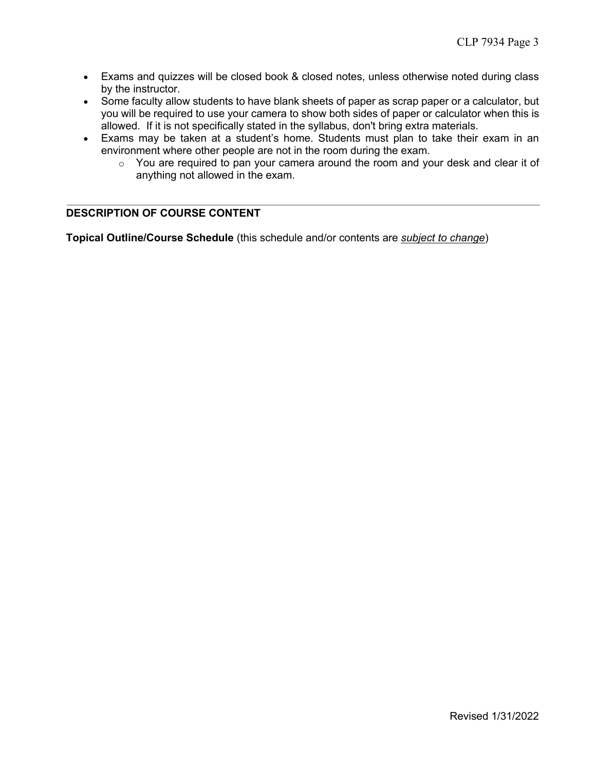- Exams and quizzes will be closed book & closed notes, unless otherwise noted during class by the instructor.
- Some faculty allow students to have blank sheets of paper as scrap paper or a calculator, but you will be required to use your camera to show both sides of paper or calculator when this is allowed. If it is not specifically stated in the syllabus, don't bring extra materials.
- Exams may be taken at a student's home. Students must plan to take their exam in an environment where other people are not in the room during the exam.
	- o You are required to pan your camera around the room and your desk and clear it of anything not allowed in the exam.

## **DESCRIPTION OF COURSE CONTENT**

**Topical Outline/Course Schedule** (this schedule and/or contents are *subject to change*)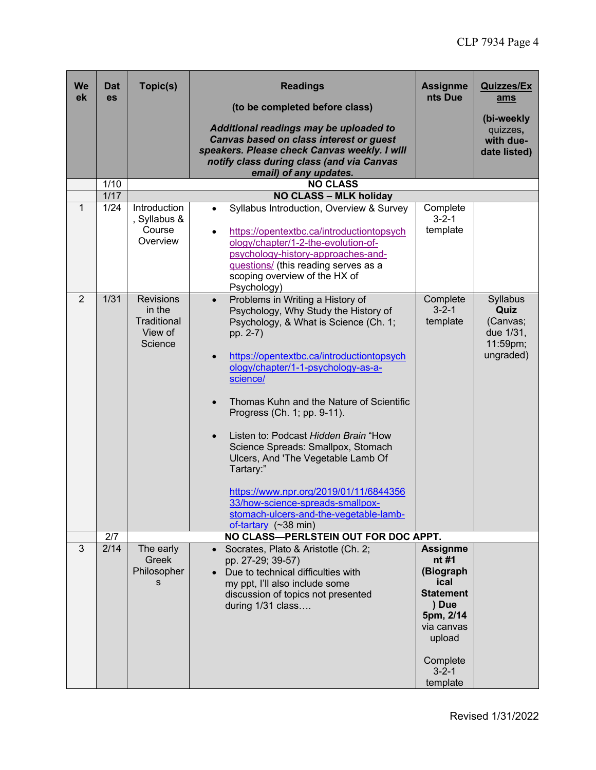| We<br>ek       | Dat<br>es    | Topic(s)                                                        | <b>Readings</b><br>(to be completed before class)<br>Additional readings may be uploaded to<br><b>Canvas based on class interest or guest</b><br>speakers. Please check Canvas weekly. I will<br>notify class during class (and via Canvas<br>email) of any updates.                                                                                                                                                                                                                                                                                                                                                                         | <b>Assignme</b><br>nts Due                                                                                                                             | <b>Quizzes/Ex</b><br>ams<br>(bi-weekly<br>quizzes,<br>with due-<br>date listed) |
|----------------|--------------|-----------------------------------------------------------------|----------------------------------------------------------------------------------------------------------------------------------------------------------------------------------------------------------------------------------------------------------------------------------------------------------------------------------------------------------------------------------------------------------------------------------------------------------------------------------------------------------------------------------------------------------------------------------------------------------------------------------------------|--------------------------------------------------------------------------------------------------------------------------------------------------------|---------------------------------------------------------------------------------|
|                | 1/10         |                                                                 | <b>NO CLASS</b>                                                                                                                                                                                                                                                                                                                                                                                                                                                                                                                                                                                                                              |                                                                                                                                                        |                                                                                 |
| 1              | 1/17<br>1/24 | Introduction<br>, Syllabus &<br>Course<br>Overview              | <b>NO CLASS - MLK holiday</b><br>Syllabus Introduction, Overview & Survey<br>$\bullet$<br>https://opentextbc.ca/introductiontopsych<br>$\bullet$<br>ology/chapter/1-2-the-evolution-of-<br>psychology-history-approaches-and-<br>questions/ (this reading serves as a<br>scoping overview of the HX of<br>Psychology)                                                                                                                                                                                                                                                                                                                        | Complete<br>$3 - 2 - 1$<br>template                                                                                                                    |                                                                                 |
| $\overline{2}$ | 1/31         | <b>Revisions</b><br>in the<br>Traditional<br>View of<br>Science | Problems in Writing a History of<br>$\bullet$<br>Psychology, Why Study the History of<br>Psychology, & What is Science (Ch. 1;<br>pp. 2-7)<br>https://opentextbc.ca/introductiontopsych<br>$\bullet$<br>ology/chapter/1-1-psychology-as-a-<br>science/<br>Thomas Kuhn and the Nature of Scientific<br>$\bullet$<br>Progress (Ch. 1; pp. 9-11).<br>Listen to: Podcast Hidden Brain "How<br>$\bullet$<br>Science Spreads: Smallpox, Stomach<br>Ulcers, And 'The Vegetable Lamb Of<br>Tartary:"<br>https://www.npr.org/2019/01/11/6844356<br>33/how-science-spreads-smallpox-<br>stomach-ulcers-and-the-vegetable-lamb-<br>of-tartary (~38 min) | Complete<br>$3 - 2 - 1$<br>template                                                                                                                    | Syllabus<br>Quiz<br>(Canvas;<br>due 1/31,<br>11:59pm;<br>ungraded)              |
|                | 2/7          |                                                                 | NO CLASS-PERLSTEIN OUT FOR DOC APPT.                                                                                                                                                                                                                                                                                                                                                                                                                                                                                                                                                                                                         |                                                                                                                                                        |                                                                                 |
| 3              | 2/14         | The early<br>Greek<br>Philosopher<br>S                          | Socrates, Plato & Aristotle (Ch. 2;<br>pp. 27-29; 39-57)<br>Due to technical difficulties with<br>my ppt, I'll also include some<br>discussion of topics not presented<br>during 1/31 class                                                                                                                                                                                                                                                                                                                                                                                                                                                  | <b>Assignme</b><br>nt #1<br>(Biograph<br>ical<br><b>Statement</b><br>) Due<br>5pm, 2/14<br>via canvas<br>upload<br>Complete<br>$3 - 2 - 1$<br>template |                                                                                 |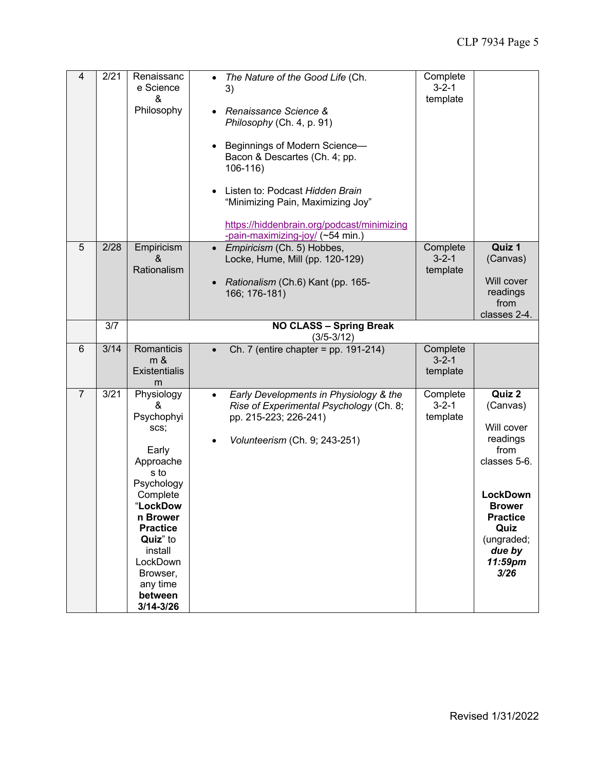| 4              | 2/21 | Renaissanc<br>e Science<br>&<br>Philosophy                                                                                                                                                                                     | The Nature of the Good Life (Ch.<br>$\bullet$<br>3)<br>Renaissance Science &<br>$\bullet$<br>Philosophy (Ch. 4, p. 91)<br>Beginnings of Modern Science-<br>Bacon & Descartes (Ch. 4; pp.<br>$106 - 116$<br>Listen to: Podcast Hidden Brain<br>"Minimizing Pain, Maximizing Joy"<br>https://hiddenbrain.org/podcast/minimizing<br>-pain-maximizing-joy/ (~54 min.) | Complete<br>$3 - 2 - 1$<br>template |                                                                                                                                                                                |
|----------------|------|--------------------------------------------------------------------------------------------------------------------------------------------------------------------------------------------------------------------------------|-------------------------------------------------------------------------------------------------------------------------------------------------------------------------------------------------------------------------------------------------------------------------------------------------------------------------------------------------------------------|-------------------------------------|--------------------------------------------------------------------------------------------------------------------------------------------------------------------------------|
| 5              | 2/28 | Empiricism<br>&<br>Rationalism                                                                                                                                                                                                 | • Empiricism (Ch. 5) Hobbes,<br>Locke, Hume, Mill (pp. 120-129)<br>Rationalism (Ch.6) Kant (pp. 165-<br>166; 176-181)                                                                                                                                                                                                                                             | Complete<br>$3 - 2 - 1$<br>template | Quiz 1<br>(Canvas)<br>Will cover<br>readings<br>from<br>classes 2-4.                                                                                                           |
|                | 3/7  |                                                                                                                                                                                                                                | <b>NO CLASS - Spring Break</b><br>$(3/5 - 3/12)$                                                                                                                                                                                                                                                                                                                  |                                     |                                                                                                                                                                                |
| 6              | 3/14 | Romanticis<br>m &<br><b>Existentialis</b><br>m                                                                                                                                                                                 | Ch. 7 (entire chapter = $pp. 191-214$ )                                                                                                                                                                                                                                                                                                                           | Complete<br>$3 - 2 - 1$<br>template |                                                                                                                                                                                |
| $\overline{7}$ | 3/21 | Physiology<br>&<br>Psychophyi<br>scs;<br>Early<br>Approache<br>s to<br>Psychology<br>Complete<br>LockDow<br>n Brower<br><b>Practice</b><br>Quiz" to<br>install<br>LockDown<br>Browser,<br>any time<br>between<br>$3/14 - 3/26$ | Early Developments in Physiology & the<br>$\bullet$<br>Rise of Experimental Psychology (Ch. 8;<br>pp. 215-223; 226-241)<br>Volunteerism (Ch. 9; 243-251)                                                                                                                                                                                                          | Complete<br>$3 - 2 - 1$<br>template | Quiz 2<br>(Canvas)<br>Will cover<br>readings<br>from<br>classes 5-6.<br><b>LockDown</b><br><b>Brower</b><br><b>Practice</b><br>Quiz<br>(ungraded;<br>due by<br>11:59pm<br>3/26 |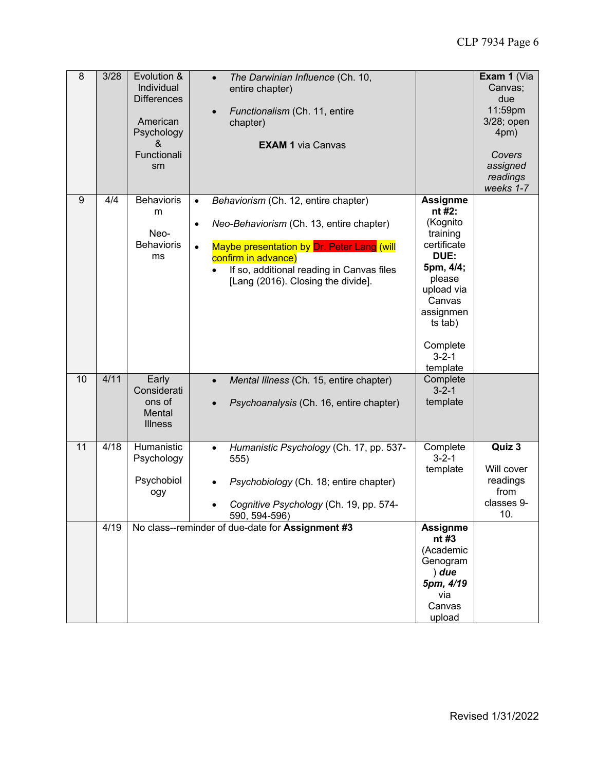| 8  | 3/28 | Evolution &<br>Individual<br><b>Differences</b><br>American<br>Psychology<br>&<br>Functionali<br>sm | The Darwinian Influence (Ch. 10,<br>$\bullet$<br>entire chapter)<br>Functionalism (Ch. 11, entire<br>chapter)<br><b>EXAM 1 via Canvas</b>                                                                                                                                       |                                                                                                                                                                                        | Exam 1 (Via<br>Canvas;<br>due<br>11:59pm<br>3/28; open<br>4pm)<br>Covers<br>assigned<br>readings<br>weeks 1-7 |
|----|------|-----------------------------------------------------------------------------------------------------|---------------------------------------------------------------------------------------------------------------------------------------------------------------------------------------------------------------------------------------------------------------------------------|----------------------------------------------------------------------------------------------------------------------------------------------------------------------------------------|---------------------------------------------------------------------------------------------------------------|
| 9  | 4/4  | <b>Behavioris</b><br>m<br>Neo-<br><b>Behavioris</b><br>ms                                           | Behaviorism (Ch. 12, entire chapter)<br>$\bullet$<br>Neo-Behaviorism (Ch. 13, entire chapter)<br>$\bullet$<br>Maybe presentation by Dr. Peter Lang (will<br>$\bullet$<br>confirm in advance)<br>If so, additional reading in Canvas files<br>[Lang (2016). Closing the divide]. | <b>Assignme</b><br>nt #2:<br>(Kognito<br>training<br>certificate<br>DUE:<br>5pm, 4/4;<br>please<br>upload via<br>Canvas<br>assignmen<br>ts tab)<br>Complete<br>$3 - 2 - 1$<br>template |                                                                                                               |
| 10 | 4/11 | Early<br>Considerati<br>ons of<br>Mental<br><b>Illness</b>                                          | Mental Illness (Ch. 15, entire chapter)<br>$\bullet$<br>Psychoanalysis (Ch. 16, entire chapter)                                                                                                                                                                                 | Complete<br>$3 - 2 - 1$<br>template                                                                                                                                                    |                                                                                                               |
| 11 | 4/18 | Humanistic<br>Psychology<br>Psychobiol<br>ogy                                                       | Humanistic Psychology (Ch. 17, pp. 537-<br>$\bullet$<br>555)<br>Psychobiology (Ch. 18; entire chapter)<br>Cognitive Psychology (Ch. 19, pp. 574-<br>590, 594-596)                                                                                                               | Complete<br>$3 - 2 - 1$<br>template                                                                                                                                                    | Quiz 3<br>Will cover<br>readings<br>from<br>classes 9-<br>10.                                                 |
|    | 4/19 |                                                                                                     | No class--reminder of due-date for Assignment #3                                                                                                                                                                                                                                | <b>Assignme</b><br>nt #3<br>(Academic<br>Genogram<br>$)$ due<br>5pm, 4/19<br>via<br>Canvas<br>upload                                                                                   |                                                                                                               |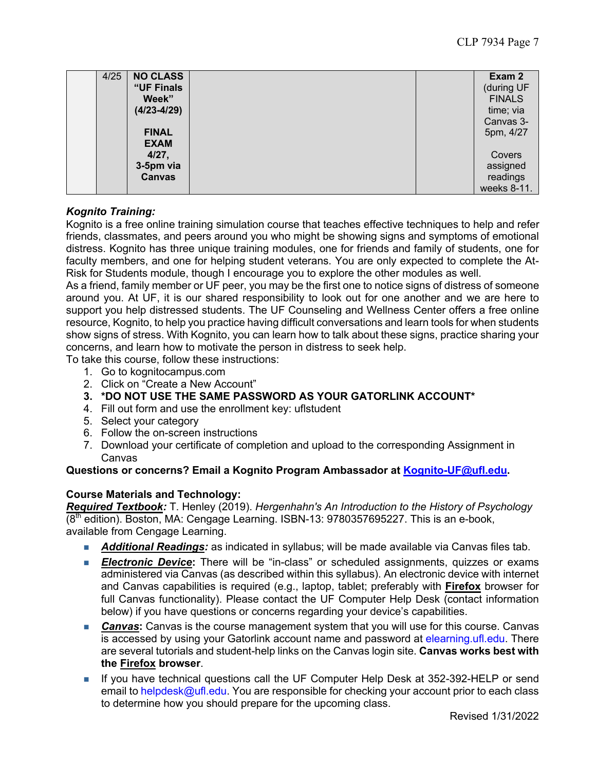| 4/25 | <b>NO CLASS</b> | Exam 2        |
|------|-----------------|---------------|
|      | "UF Finals      | (during UF    |
|      | Week"           | <b>FINALS</b> |
|      | $(4/23 - 4/29)$ | time; via     |
|      |                 | Canvas 3-     |
|      | <b>FINAL</b>    | 5pm, 4/27     |
|      | <b>EXAM</b>     |               |
|      | 4/27,           | Covers        |
|      | 3-5pm via       | assigned      |
|      | <b>Canvas</b>   | readings      |
|      |                 | weeks 8-11.   |

## *Kognito Training:*

Kognito is a free online training simulation course that teaches effective techniques to help and refer friends, classmates, and peers around you who might be showing signs and symptoms of emotional distress. Kognito has three unique training modules, one for friends and family of students, one for faculty members, and one for helping student veterans. You are only expected to complete the At-Risk for Students module, though I encourage you to explore the other modules as well.

As a friend, family member or UF peer, you may be the first one to notice signs of distress of someone around you. At UF, it is our shared responsibility to look out for one another and we are here to support you help distressed students. The UF Counseling and Wellness Center offers a free online resource, Kognito, to help you practice having difficult conversations and learn tools for when students show signs of stress. With Kognito, you can learn how to talk about these signs, practice sharing your concerns, and learn how to motivate the person in distress to seek help.

To take this course, follow these instructions:

- 1. Go to kognitocampus.com
- 2. Click on "Create a New Account"
- **3. \*DO NOT USE THE SAME PASSWORD AS YOUR GATORLINK ACCOUNT\***
- 4. Fill out form and use the enrollment key: uflstudent
- 5. Select your category
- 6. Follow the on-screen instructions
- 7. Download your certificate of completion and upload to the corresponding Assignment in Canvas

#### **Questions or concerns? Email a Kognito Program Ambassador at Kognito-UF@ufl.edu.**

#### **Course Materials and Technology:**

*Required Textbook:* T. Henley (2019). *Hergenhahn's An Introduction to the History of Psychology*  $(8<sup>th</sup>$  edition). Boston, MA: Cengage Learning. ISBN-13: 9780357695227. This is an e-book, available from Cengage Learning.

- **Additional Readings:** as indicated in syllabus; will be made available via Canvas files tab.
- **Electronic Device:** There will be "in-class" or scheduled assignments, quizzes or exams administered via Canvas (as described within this syllabus). An electronic device with internet and Canvas capabilities is required (e.g., laptop, tablet; preferably with **Firefox** browser for full Canvas functionality). Please contact the UF Computer Help Desk (contact information below) if you have questions or concerns regarding your device's capabilities.
- **Canvas:** Canvas is the course management system that you will use for this course. Canvas is accessed by using your Gatorlink account name and password at elearning.ufl.edu. There are several tutorials and student-help links on the Canvas login site. **Canvas works best with the Firefox browser**.
- If you have technical questions call the UF Computer Help Desk at 352-392-HELP or send email to helpdesk@ufl.edu. You are responsible for checking your account prior to each class to determine how you should prepare for the upcoming class.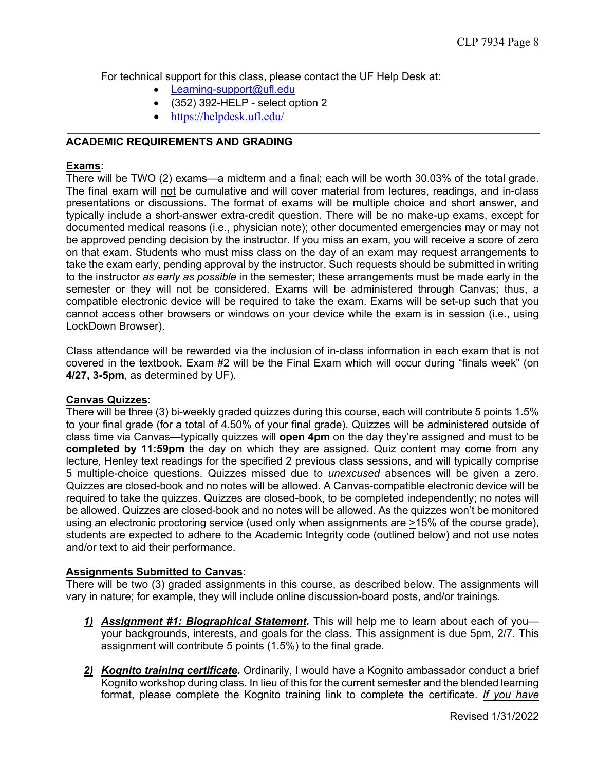For technical support for this class, please contact the UF Help Desk at:

- Learning-support@ufl.edu
- (352) 392-HELP select option 2
- https://helpdesk.ufl.edu/

## **ACADEMIC REQUIREMENTS AND GRADING**

## **Exams:**

There will be TWO (2) exams—a midterm and a final; each will be worth 30.03% of the total grade. The final exam will not be cumulative and will cover material from lectures, readings, and in-class presentations or discussions. The format of exams will be multiple choice and short answer, and typically include a short-answer extra-credit question. There will be no make-up exams, except for documented medical reasons (i.e., physician note); other documented emergencies may or may not be approved pending decision by the instructor. If you miss an exam, you will receive a score of zero on that exam. Students who must miss class on the day of an exam may request arrangements to take the exam early, pending approval by the instructor. Such requests should be submitted in writing to the instructor *as early as possible* in the semester; these arrangements must be made early in the semester or they will not be considered. Exams will be administered through Canvas; thus, a compatible electronic device will be required to take the exam. Exams will be set-up such that you cannot access other browsers or windows on your device while the exam is in session (i.e., using LockDown Browser).

Class attendance will be rewarded via the inclusion of in-class information in each exam that is not covered in the textbook. Exam #2 will be the Final Exam which will occur during "finals week" (on **4/27, 3-5pm**, as determined by UF).

#### **Canvas Quizzes:**

There will be three (3) bi-weekly graded quizzes during this course, each will contribute 5 points 1.5% to your final grade (for a total of 4.50% of your final grade). Quizzes will be administered outside of class time via Canvas—typically quizzes will **open 4pm** on the day they're assigned and must to be **completed by 11:59pm** the day on which they are assigned. Quiz content may come from any lecture, Henley text readings for the specified 2 previous class sessions, and will typically comprise 5 multiple-choice questions. Quizzes missed due to *unexcused* absences will be given a zero. Quizzes are closed-book and no notes will be allowed. A Canvas-compatible electronic device will be required to take the quizzes. Quizzes are closed-book, to be completed independently; no notes will be allowed. Quizzes are closed-book and no notes will be allowed. As the quizzes won't be monitored using an electronic proctoring service (used only when assignments are >15% of the course grade), students are expected to adhere to the Academic Integrity code (outlined below) and not use notes and/or text to aid their performance.

## **Assignments Submitted to Canvas:**

There will be two (3) graded assignments in this course, as described below. The assignments will vary in nature; for example, they will include online discussion-board posts, and/or trainings.

- *1) Assignment #1: Biographical Statement.* This will help me to learn about each of you your backgrounds, interests, and goals for the class. This assignment is due 5pm, 2/7. This assignment will contribute 5 points (1.5%) to the final grade.
- *2) Kognito training certificate.* Ordinarily, I would have a Kognito ambassador conduct a brief Kognito workshop during class. In lieu of this for the current semester and the blended learning format, please complete the Kognito training link to complete the certificate. *If you have*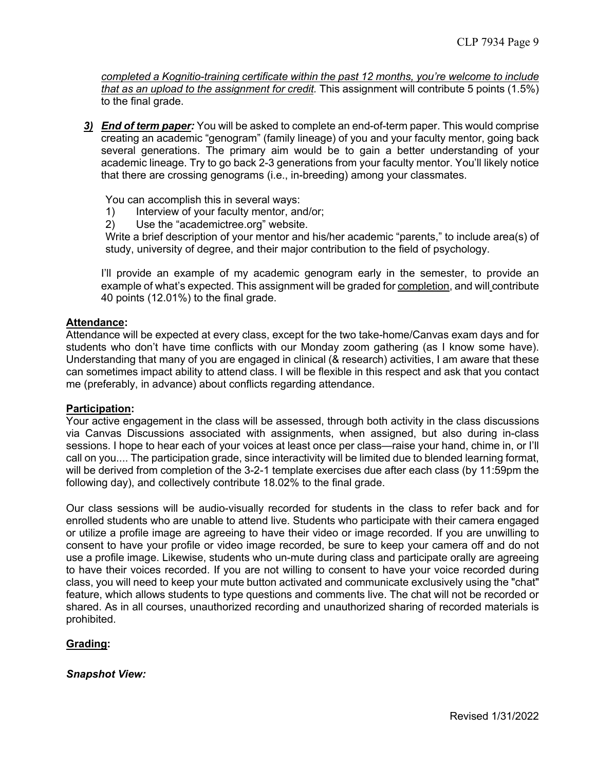*completed a Kognitio-training certificate within the past 12 months, you're welcome to include that as an upload to the assignment for credit.* This assignment will contribute 5 points (1.5%) to the final grade.

*3) End of term paper:* You will be asked to complete an end-of-term paper. This would comprise creating an academic "genogram" (family lineage) of you and your faculty mentor, going back several generations. The primary aim would be to gain a better understanding of your academic lineage. Try to go back 2-3 generations from your faculty mentor. You'll likely notice that there are crossing genograms (i.e., in-breeding) among your classmates.

You can accomplish this in several ways:

- 1) Interview of your faculty mentor, and/or;
- 2) Use the "academictree.org" website.

Write a brief description of your mentor and his/her academic "parents," to include area(s) of study, university of degree, and their major contribution to the field of psychology.

I'll provide an example of my academic genogram early in the semester, to provide an example of what's expected. This assignment will be graded for completion, and will contribute 40 points (12.01%) to the final grade.

#### **Attendance:**

Attendance will be expected at every class, except for the two take-home/Canvas exam days and for students who don't have time conflicts with our Monday zoom gathering (as I know some have). Understanding that many of you are engaged in clinical (& research) activities, I am aware that these can sometimes impact ability to attend class. I will be flexible in this respect and ask that you contact me (preferably, in advance) about conflicts regarding attendance.

#### **Participation:**

Your active engagement in the class will be assessed, through both activity in the class discussions via Canvas Discussions associated with assignments, when assigned, but also during in-class sessions. I hope to hear each of your voices at least once per class—raise your hand, chime in, or I'll call on you.... The participation grade, since interactivity will be limited due to blended learning format, will be derived from completion of the 3-2-1 template exercises due after each class (by 11:59pm the following day), and collectively contribute 18.02% to the final grade.

Our class sessions will be audio-visually recorded for students in the class to refer back and for enrolled students who are unable to attend live. Students who participate with their camera engaged or utilize a profile image are agreeing to have their video or image recorded. If you are unwilling to consent to have your profile or video image recorded, be sure to keep your camera off and do not use a profile image. Likewise, students who un-mute during class and participate orally are agreeing to have their voices recorded. If you are not willing to consent to have your voice recorded during class, you will need to keep your mute button activated and communicate exclusively using the "chat" feature, which allows students to type questions and comments live. The chat will not be recorded or shared. As in all courses, unauthorized recording and unauthorized sharing of recorded materials is prohibited.

## **Grading:**

#### *Snapshot View:*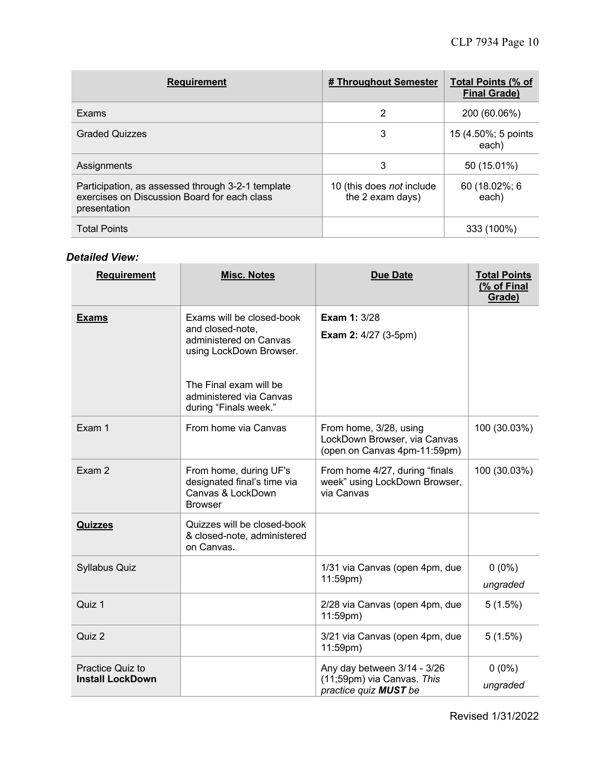| <b>Requirement</b>                                                                                                | # Throughout Semester                         | <b>Total Points (% of</b><br><b>Final Grade)</b> |
|-------------------------------------------------------------------------------------------------------------------|-----------------------------------------------|--------------------------------------------------|
| Exams                                                                                                             | 2                                             | 200 (60.06%)                                     |
| <b>Graded Quizzes</b>                                                                                             | 3                                             | 15 (4.50%; 5 points<br>each)                     |
| Assignments                                                                                                       | 3                                             | 50 (15.01%)                                      |
| Participation, as assessed through 3-2-1 template<br>exercises on Discussion Board for each class<br>presentation | 10 (this does not include<br>the 2 exam days) | 60 (18.02%; 6<br>each)                           |
| <b>Total Points</b>                                                                                               |                                               | 333 (100%)                                       |

## *Detailed View:*

| <b>Requirement</b>                          | <b>Misc. Notes</b>                                                                                                                                                               | <b>Due Date</b>                                                                        | <b>Total Points</b><br>(% of Final<br>Grade) |
|---------------------------------------------|----------------------------------------------------------------------------------------------------------------------------------------------------------------------------------|----------------------------------------------------------------------------------------|----------------------------------------------|
| <b>Exams</b>                                | Exams will be closed-book<br>and closed-note,<br>administered on Canvas<br>using LockDown Browser.<br>The Final exam will be<br>administered via Canvas<br>during "Finals week." | <b>Exam 1: 3/28</b><br><b>Exam 2: 4/27 (3-5pm)</b>                                     |                                              |
| Exam 1                                      | From home via Canvas                                                                                                                                                             | From home, 3/28, using<br>LockDown Browser, via Canvas<br>(open on Canvas 4pm-11:59pm) | 100 (30.03%)                                 |
| Exam 2                                      | From home, during UF's<br>designated final's time via<br>Canvas & LockDown<br><b>Browser</b>                                                                                     | From home 4/27, during "finals<br>week" using LockDown Browser,<br>via Canvas          | 100 (30.03%)                                 |
| <b>Quizzes</b>                              | Quizzes will be closed-book<br>& closed-note, administered<br>on Canvas.                                                                                                         |                                                                                        |                                              |
| <b>Syllabus Quiz</b>                        |                                                                                                                                                                                  | 1/31 via Canvas (open 4pm, due<br>$11:59$ pm)                                          | $0(0\%)$<br>ungraded                         |
| Quiz 1                                      |                                                                                                                                                                                  | 2/28 via Canvas (open 4pm, due<br>$11:59$ pm)                                          | 5(1.5%)                                      |
| Quiz 2                                      |                                                                                                                                                                                  | 3/21 via Canvas (open 4pm, due<br>11:59pm)                                             | 5(1.5%)                                      |
| Practice Quiz to<br><b>Install LockDown</b> |                                                                                                                                                                                  | Any day between 3/14 - 3/26<br>(11;59pm) via Canvas. This<br>practice quiz MUST be     | $0(0\%)$<br>ungraded                         |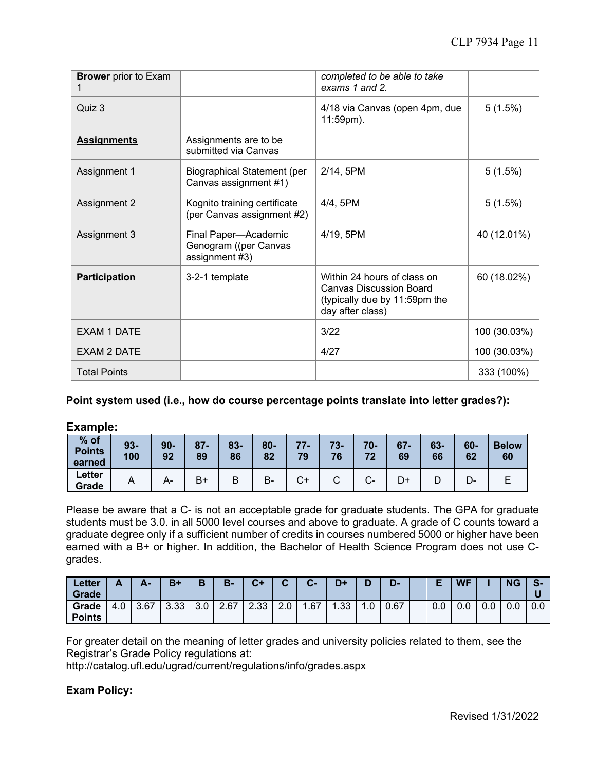| <b>Brower</b> prior to Exam |                                                                 | completed to be able to take<br>exams 1 and 2.                                                                     |              |
|-----------------------------|-----------------------------------------------------------------|--------------------------------------------------------------------------------------------------------------------|--------------|
| Quiz 3                      |                                                                 | 4/18 via Canvas (open 4pm, due<br>11:59pm).                                                                        | 5(1.5%)      |
| <b>Assignments</b>          | Assignments are to be<br>submitted via Canvas                   |                                                                                                                    |              |
| Assignment 1                | <b>Biographical Statement (per</b><br>Canvas assignment #1)     | 2/14, 5PM                                                                                                          | 5(1.5%)      |
| Assignment 2                | Kognito training certificate<br>(per Canvas assignment #2)      | 4/4, 5PM                                                                                                           | 5(1.5%)      |
| Assignment 3                | Final Paper-Academic<br>Genogram ((per Canvas<br>assignment #3) | 4/19, 5PM                                                                                                          | 40 (12.01%)  |
| <b>Participation</b>        | 3-2-1 template                                                  | Within 24 hours of class on<br><b>Canvas Discussion Board</b><br>(typically due by 11:59pm the<br>day after class) | 60 (18.02%)  |
| <b>EXAM 1 DATE</b>          |                                                                 | 3/22                                                                                                               | 100 (30.03%) |
| <b>EXAM 2 DATE</b>          |                                                                 | 4/27                                                                                                               | 100 (30.03%) |
| <b>Total Points</b>         |                                                                 |                                                                                                                    | 333 (100%)   |

#### **Point system used (i.e., how do course percentage points translate into letter grades?):**

**Example:**

| % of<br><b>Points</b><br>earned | $93 -$<br>100  | $90 -$<br>92 | $87 -$<br>89 | $83 -$<br>86 | $80 -$<br>82 | 77<br>79 | $73 -$<br>76 | $70 -$<br>74      | $67 -$<br>69 | $63 -$<br>66 | $60-$<br>62 | <b>Below</b><br>60 |
|---------------------------------|----------------|--------------|--------------|--------------|--------------|----------|--------------|-------------------|--------------|--------------|-------------|--------------------|
| Letter<br>Grade                 | $\overline{ }$ | A-           | B+           | רו<br>D      | B-           | С+       | ⌒            | ⌒<br>$\mathbf{v}$ |              |              | <u> پ</u>   |                    |

Please be aware that a C- is not an acceptable grade for graduate students. The GPA for graduate students must be 3.0. in all 5000 level courses and above to graduate. A grade of C counts toward a graduate degree only if a sufficient number of credits in courses numbered 5000 or higher have been earned with a B+ or higher. In addition, the Bachelor of Health Science Program does not use Cgrades.

| Letter<br>Grade        | A   | А-   | $B+$ | D                | $B -$ | C+   | $\sim$ | $\sim$<br>v- | D+  |    | D-   |     | <b>WF</b>     |     | <b>NG</b> | $\sim$<br><u>ъ</u> |
|------------------------|-----|------|------|------------------|-------|------|--------|--------------|-----|----|------|-----|---------------|-----|-----------|--------------------|
| Grade<br><b>Points</b> | 4.0 | 3.67 | 3.33 | 3.0 <sub>2</sub> | 2.67  | 2.33 | 2.0    | 67،،         | .33 | .0 | 0.67 | 0.0 | $\sim$<br>v.v | 0.0 | ⌒<br>v.v  | 0.0                |

For greater detail on the meaning of letter grades and university policies related to them, see the Registrar's Grade Policy regulations at:

http://catalog.ufl.edu/ugrad/current/regulations/info/grades.aspx

#### **Exam Policy:**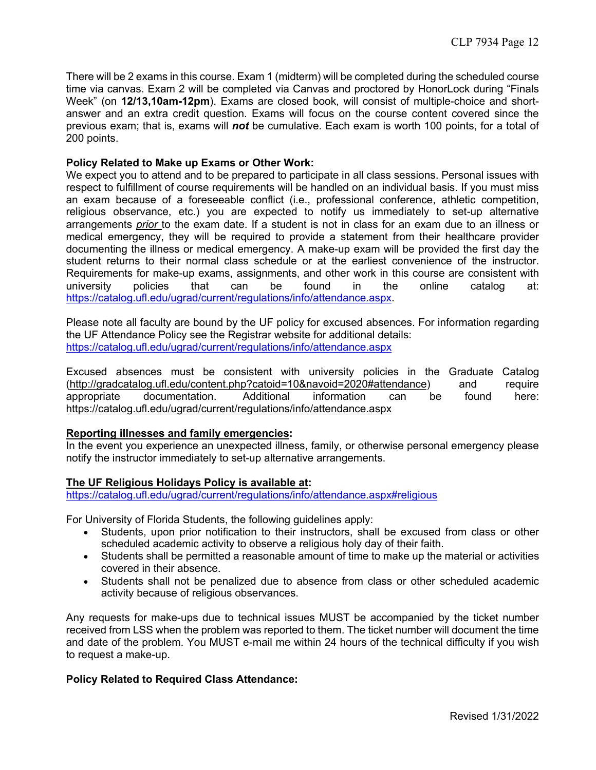There will be 2 exams in this course. Exam 1 (midterm) will be completed during the scheduled course time via canvas. Exam 2 will be completed via Canvas and proctored by HonorLock during "Finals Week" (on **12/13,10am-12pm**). Exams are closed book, will consist of multiple-choice and shortanswer and an extra credit question. Exams will focus on the course content covered since the previous exam; that is, exams will *not* be cumulative. Each exam is worth 100 points, for a total of 200 points.

#### **Policy Related to Make up Exams or Other Work:**

We expect you to attend and to be prepared to participate in all class sessions. Personal issues with respect to fulfillment of course requirements will be handled on an individual basis. If you must miss an exam because of a foreseeable conflict (i.e., professional conference, athletic competition, religious observance, etc.) you are expected to notify us immediately to set-up alternative arrangements *prior* to the exam date. If a student is not in class for an exam due to an illness or medical emergency, they will be required to provide a statement from their healthcare provider documenting the illness or medical emergency. A make-up exam will be provided the first day the student returns to their normal class schedule or at the earliest convenience of the instructor. Requirements for make-up exams, assignments, and other work in this course are consistent with university policies that can be found in the online catalog at: https://catalog.ufl.edu/ugrad/current/regulations/info/attendance.aspx.

Please note all faculty are bound by the UF policy for excused absences. For information regarding the UF Attendance Policy see the Registrar website for additional details: https://catalog.ufl.edu/ugrad/current/regulations/info/attendance.aspx

Excused absences must be consistent with university policies in the Graduate Catalog (http://gradcatalog.ufl.edu/content.php?catoid=10&navoid=2020#attendance) and require appropriate documentation. Additional information can be found here: https://catalog.ufl.edu/ugrad/current/regulations/info/attendance.aspx

#### **Reporting illnesses and family emergencies:**

In the event you experience an unexpected illness, family, or otherwise personal emergency please notify the instructor immediately to set-up alternative arrangements.

#### **The UF Religious Holidays Policy is available at:**

https://catalog.ufl.edu/ugrad/current/regulations/info/attendance.aspx#religious

For University of Florida Students, the following guidelines apply:

- Students, upon prior notification to their instructors, shall be excused from class or other scheduled academic activity to observe a religious holy day of their faith.
- Students shall be permitted a reasonable amount of time to make up the material or activities covered in their absence.
- Students shall not be penalized due to absence from class or other scheduled academic activity because of religious observances.

Any requests for make-ups due to technical issues MUST be accompanied by the ticket number received from LSS when the problem was reported to them. The ticket number will document the time and date of the problem. You MUST e-mail me within 24 hours of the technical difficulty if you wish to request a make-up.

#### **Policy Related to Required Class Attendance:**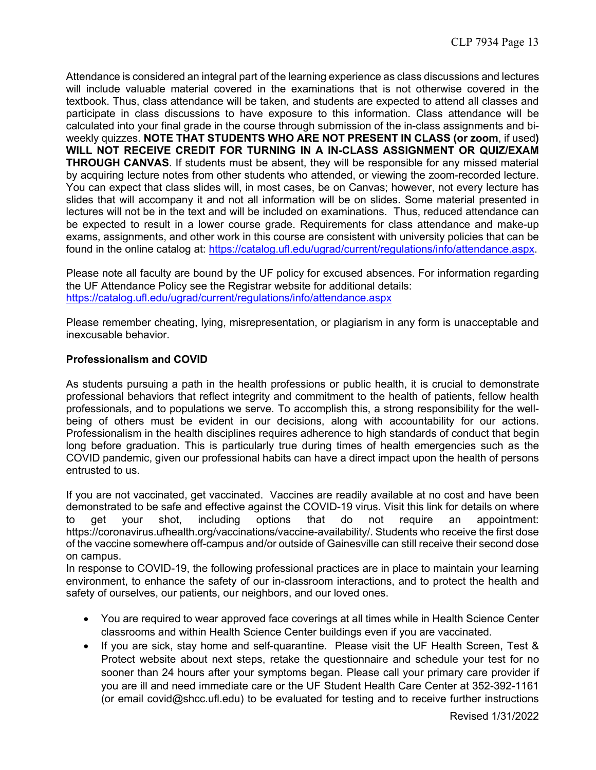Attendance is considered an integral part of the learning experience as class discussions and lectures will include valuable material covered in the examinations that is not otherwise covered in the textbook. Thus, class attendance will be taken, and students are expected to attend all classes and participate in class discussions to have exposure to this information. Class attendance will be calculated into your final grade in the course through submission of the in-class assignments and biweekly quizzes. **NOTE THAT STUDENTS WHO ARE NOT PRESENT IN CLASS (or zoom**, if used**) WILL NOT RECEIVE CREDIT FOR TURNING IN A IN-CLASS ASSIGNMENT OR QUIZ/EXAM THROUGH CANVAS**. If students must be absent, they will be responsible for any missed material by acquiring lecture notes from other students who attended, or viewing the zoom-recorded lecture. You can expect that class slides will, in most cases, be on Canvas; however, not every lecture has slides that will accompany it and not all information will be on slides. Some material presented in lectures will not be in the text and will be included on examinations. Thus, reduced attendance can be expected to result in a lower course grade. Requirements for class attendance and make-up exams, assignments, and other work in this course are consistent with university policies that can be found in the online catalog at: https://catalog.ufl.edu/ugrad/current/regulations/info/attendance.aspx.

Please note all faculty are bound by the UF policy for excused absences. For information regarding the UF Attendance Policy see the Registrar website for additional details: https://catalog.ufl.edu/ugrad/current/regulations/info/attendance.aspx

Please remember cheating, lying, misrepresentation, or plagiarism in any form is unacceptable and inexcusable behavior.

#### **Professionalism and COVID**

As students pursuing a path in the health professions or public health, it is crucial to demonstrate professional behaviors that reflect integrity and commitment to the health of patients, fellow health professionals, and to populations we serve. To accomplish this, a strong responsibility for the wellbeing of others must be evident in our decisions, along with accountability for our actions. Professionalism in the health disciplines requires adherence to high standards of conduct that begin long before graduation. This is particularly true during times of health emergencies such as the COVID pandemic, given our professional habits can have a direct impact upon the health of persons entrusted to us.

If you are not vaccinated, get vaccinated. Vaccines are readily available at no cost and have been demonstrated to be safe and effective against the COVID-19 virus. Visit this link for details on where to get your shot, including options that do not require an appointment: https://coronavirus.ufhealth.org/vaccinations/vaccine-availability/. Students who receive the first dose of the vaccine somewhere off-campus and/or outside of Gainesville can still receive their second dose on campus.

In response to COVID-19, the following professional practices are in place to maintain your learning environment, to enhance the safety of our in-classroom interactions, and to protect the health and safety of ourselves, our patients, our neighbors, and our loved ones.

- You are required to wear approved face coverings at all times while in Health Science Center classrooms and within Health Science Center buildings even if you are vaccinated.
- If you are sick, stay home and self-quarantine. Please visit the UF Health Screen, Test & Protect website about next steps, retake the questionnaire and schedule your test for no sooner than 24 hours after your symptoms began. Please call your primary care provider if you are ill and need immediate care or the UF Student Health Care Center at 352-392-1161 (or email covid@shcc.ufl.edu) to be evaluated for testing and to receive further instructions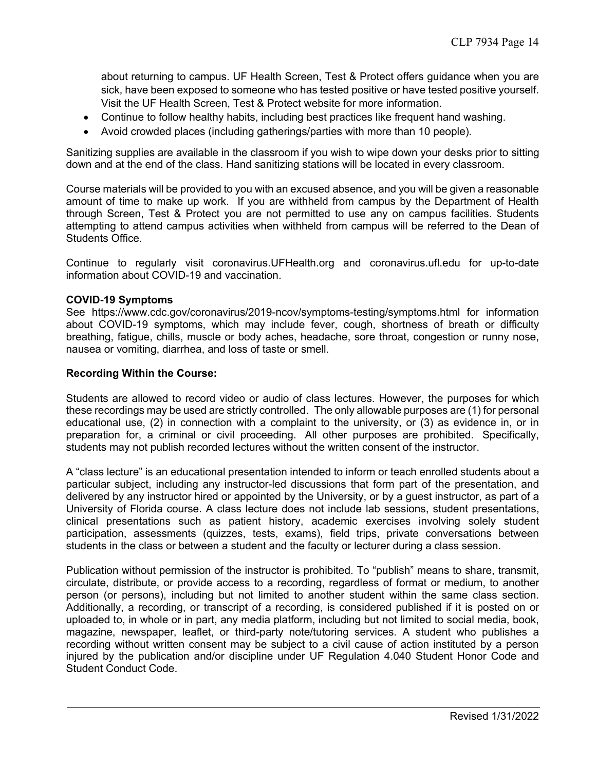about returning to campus. UF Health Screen, Test & Protect offers guidance when you are sick, have been exposed to someone who has tested positive or have tested positive yourself. Visit the UF Health Screen, Test & Protect website for more information.

- Continue to follow healthy habits, including best practices like frequent hand washing.
- Avoid crowded places (including gatherings/parties with more than 10 people).

Sanitizing supplies are available in the classroom if you wish to wipe down your desks prior to sitting down and at the end of the class. Hand sanitizing stations will be located in every classroom.

Course materials will be provided to you with an excused absence, and you will be given a reasonable amount of time to make up work. If you are withheld from campus by the Department of Health through Screen, Test & Protect you are not permitted to use any on campus facilities. Students attempting to attend campus activities when withheld from campus will be referred to the Dean of Students Office.

Continue to regularly visit coronavirus.UFHealth.org and coronavirus.ufl.edu for up-to-date information about COVID-19 and vaccination.

## **COVID-19 Symptoms**

See https://www.cdc.gov/coronavirus/2019-ncov/symptoms-testing/symptoms.html for information about COVID-19 symptoms, which may include fever, cough, shortness of breath or difficulty breathing, fatigue, chills, muscle or body aches, headache, sore throat, congestion or runny nose, nausea or vomiting, diarrhea, and loss of taste or smell.

#### **Recording Within the Course:**

Students are allowed to record video or audio of class lectures. However, the purposes for which these recordings may be used are strictly controlled. The only allowable purposes are (1) for personal educational use, (2) in connection with a complaint to the university, or (3) as evidence in, or in preparation for, a criminal or civil proceeding. All other purposes are prohibited. Specifically, students may not publish recorded lectures without the written consent of the instructor.

A "class lecture" is an educational presentation intended to inform or teach enrolled students about a particular subject, including any instructor-led discussions that form part of the presentation, and delivered by any instructor hired or appointed by the University, or by a guest instructor, as part of a University of Florida course. A class lecture does not include lab sessions, student presentations, clinical presentations such as patient history, academic exercises involving solely student participation, assessments (quizzes, tests, exams), field trips, private conversations between students in the class or between a student and the faculty or lecturer during a class session.

Publication without permission of the instructor is prohibited. To "publish" means to share, transmit, circulate, distribute, or provide access to a recording, regardless of format or medium, to another person (or persons), including but not limited to another student within the same class section. Additionally, a recording, or transcript of a recording, is considered published if it is posted on or uploaded to, in whole or in part, any media platform, including but not limited to social media, book, magazine, newspaper, leaflet, or third-party note/tutoring services. A student who publishes a recording without written consent may be subject to a civil cause of action instituted by a person injured by the publication and/or discipline under UF Regulation 4.040 Student Honor Code and Student Conduct Code.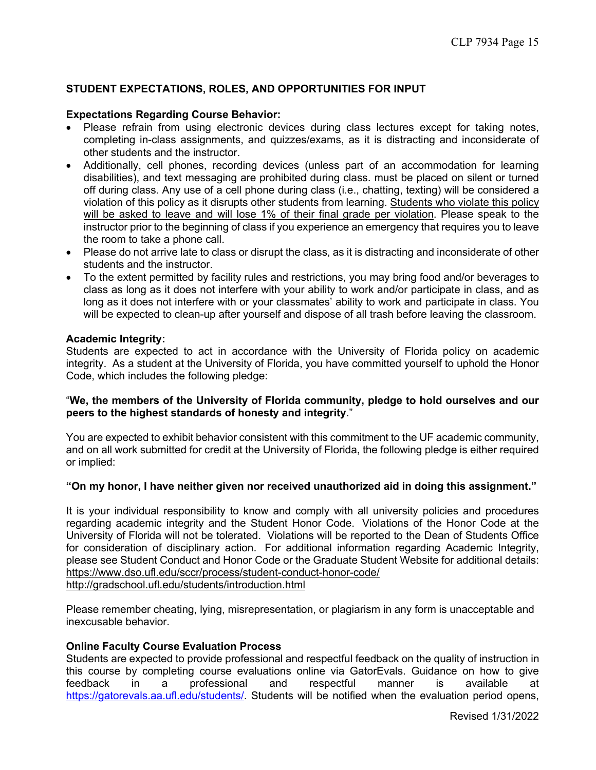## **STUDENT EXPECTATIONS, ROLES, AND OPPORTUNITIES FOR INPUT**

## **Expectations Regarding Course Behavior:**

- Please refrain from using electronic devices during class lectures except for taking notes, completing in-class assignments, and quizzes/exams, as it is distracting and inconsiderate of other students and the instructor.
- Additionally, cell phones, recording devices (unless part of an accommodation for learning disabilities), and text messaging are prohibited during class. must be placed on silent or turned off during class. Any use of a cell phone during class (i.e., chatting, texting) will be considered a violation of this policy as it disrupts other students from learning. Students who violate this policy will be asked to leave and will lose 1% of their final grade per violation. Please speak to the instructor prior to the beginning of class if you experience an emergency that requires you to leave the room to take a phone call.
- Please do not arrive late to class or disrupt the class, as it is distracting and inconsiderate of other students and the instructor.
- To the extent permitted by facility rules and restrictions, you may bring food and/or beverages to class as long as it does not interfere with your ability to work and/or participate in class, and as long as it does not interfere with or your classmates' ability to work and participate in class. You will be expected to clean-up after yourself and dispose of all trash before leaving the classroom.

#### **Academic Integrity:**

Students are expected to act in accordance with the University of Florida policy on academic integrity. As a student at the University of Florida, you have committed yourself to uphold the Honor Code, which includes the following pledge:

#### "**We, the members of the University of Florida community, pledge to hold ourselves and our peers to the highest standards of honesty and integrity**."

You are expected to exhibit behavior consistent with this commitment to the UF academic community, and on all work submitted for credit at the University of Florida, the following pledge is either required or implied:

#### **"On my honor, I have neither given nor received unauthorized aid in doing this assignment."**

It is your individual responsibility to know and comply with all university policies and procedures regarding academic integrity and the Student Honor Code. Violations of the Honor Code at the University of Florida will not be tolerated. Violations will be reported to the Dean of Students Office for consideration of disciplinary action. For additional information regarding Academic Integrity, please see Student Conduct and Honor Code or the Graduate Student Website for additional details: https://www.dso.ufl.edu/sccr/process/student-conduct-honor-code/ http://gradschool.ufl.edu/students/introduction.html

Please remember cheating, lying, misrepresentation, or plagiarism in any form is unacceptable and inexcusable behavior.

#### **Online Faculty Course Evaluation Process**

Students are expected to provide professional and respectful feedback on the quality of instruction in this course by completing course evaluations online via GatorEvals. Guidance on how to give feedback in a professional and respectful manner is available at https://gatorevals.aa.ufl.edu/students/. Students will be notified when the evaluation period opens,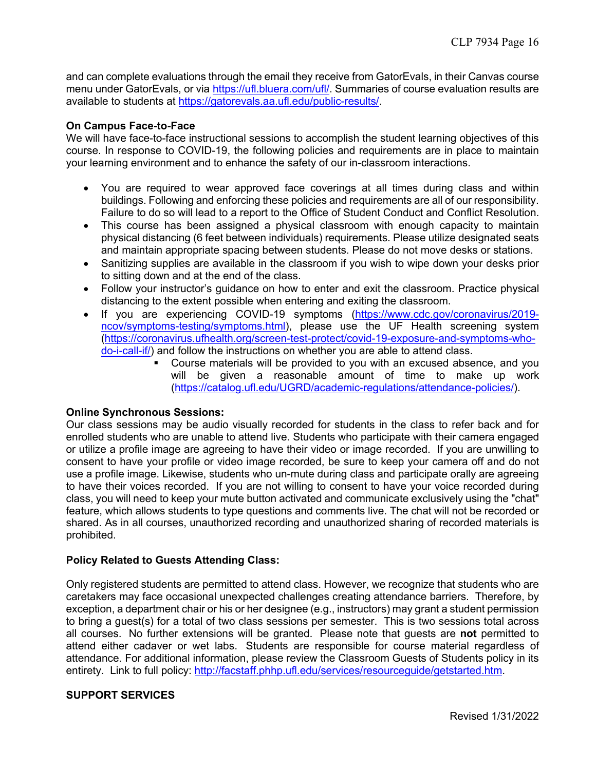and can complete evaluations through the email they receive from GatorEvals, in their Canvas course menu under GatorEvals, or via https://ufl.bluera.com/ufl/. Summaries of course evaluation results are available to students at https://gatorevals.aa.ufl.edu/public-results/.

## **On Campus Face-to-Face**

We will have face-to-face instructional sessions to accomplish the student learning objectives of this course. In response to COVID-19, the following policies and requirements are in place to maintain your learning environment and to enhance the safety of our in-classroom interactions.

- You are required to wear approved face coverings at all times during class and within buildings. Following and enforcing these policies and requirements are all of our responsibility. Failure to do so will lead to a report to the Office of Student Conduct and Conflict Resolution.
- This course has been assigned a physical classroom with enough capacity to maintain physical distancing (6 feet between individuals) requirements. Please utilize designated seats and maintain appropriate spacing between students. Please do not move desks or stations.
- Sanitizing supplies are available in the classroom if you wish to wipe down your desks prior to sitting down and at the end of the class.
- Follow your instructor's guidance on how to enter and exit the classroom. Practice physical distancing to the extent possible when entering and exiting the classroom.
- If you are experiencing COVID-19 symptoms (https://www.cdc.gov/coronavirus/2019 ncov/symptoms-testing/symptoms.html), please use the UF Health screening system (https://coronavirus.ufhealth.org/screen-test-protect/covid-19-exposure-and-symptoms-whodo-i-call-if/) and follow the instructions on whether you are able to attend class.
	- § Course materials will be provided to you with an excused absence, and you will be given a reasonable amount of time to make up work (https://catalog.ufl.edu/UGRD/academic-regulations/attendance-policies/).

#### **Online Synchronous Sessions:**

Our class sessions may be audio visually recorded for students in the class to refer back and for enrolled students who are unable to attend live. Students who participate with their camera engaged or utilize a profile image are agreeing to have their video or image recorded. If you are unwilling to consent to have your profile or video image recorded, be sure to keep your camera off and do not use a profile image. Likewise, students who un-mute during class and participate orally are agreeing to have their voices recorded. If you are not willing to consent to have your voice recorded during class, you will need to keep your mute button activated and communicate exclusively using the "chat" feature, which allows students to type questions and comments live. The chat will not be recorded or shared. As in all courses, unauthorized recording and unauthorized sharing of recorded materials is prohibited.

## **Policy Related to Guests Attending Class:**

Only registered students are permitted to attend class. However, we recognize that students who are caretakers may face occasional unexpected challenges creating attendance barriers. Therefore, by exception, a department chair or his or her designee (e.g., instructors) may grant a student permission to bring a guest(s) for a total of two class sessions per semester. This is two sessions total across all courses. No further extensions will be granted. Please note that guests are **not** permitted to attend either cadaver or wet labs. Students are responsible for course material regardless of attendance. For additional information, please review the Classroom Guests of Students policy in its entirety. Link to full policy: http://facstaff.phhp.ufl.edu/services/resourceguide/getstarted.htm.

#### **SUPPORT SERVICES**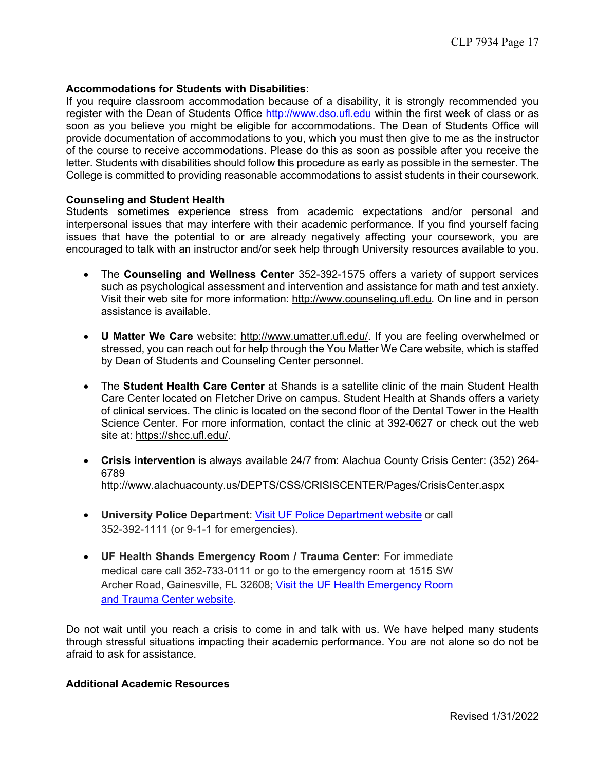#### **Accommodations for Students with Disabilities:**

If you require classroom accommodation because of a disability, it is strongly recommended you register with the Dean of Students Office http://www.dso.ufl.edu within the first week of class or as soon as you believe you might be eligible for accommodations. The Dean of Students Office will provide documentation of accommodations to you, which you must then give to me as the instructor of the course to receive accommodations. Please do this as soon as possible after you receive the letter. Students with disabilities should follow this procedure as early as possible in the semester. The College is committed to providing reasonable accommodations to assist students in their coursework.

#### **Counseling and Student Health**

Students sometimes experience stress from academic expectations and/or personal and interpersonal issues that may interfere with their academic performance. If you find yourself facing issues that have the potential to or are already negatively affecting your coursework, you are encouraged to talk with an instructor and/or seek help through University resources available to you.

- The **Counseling and Wellness Center** 352-392-1575 offers a variety of support services such as psychological assessment and intervention and assistance for math and test anxiety. Visit their web site for more information: http://www.counseling.ufl.edu. On line and in person assistance is available.
- **U Matter We Care** website: http://www.umatter.ufl.edu/. If you are feeling overwhelmed or stressed, you can reach out for help through the You Matter We Care website, which is staffed by Dean of Students and Counseling Center personnel.
- The **Student Health Care Center** at Shands is a satellite clinic of the main Student Health Care Center located on Fletcher Drive on campus. Student Health at Shands offers a variety of clinical services. The clinic is located on the second floor of the Dental Tower in the Health Science Center. For more information, contact the clinic at 392-0627 or check out the web site at: https://shcc.ufl.edu/.
- **Crisis intervention** is always available 24/7 from: Alachua County Crisis Center: (352) 264- 6789 http://www.alachuacounty.us/DEPTS/CSS/CRISISCENTER/Pages/CrisisCenter.aspx
- **University Police Department**: Visit UF Police Department website or call 352-392-1111 (or 9-1-1 for emergencies).
- **UF Health Shands Emergency Room / Trauma Center:** For immediate medical care call 352-733-0111 or go to the emergency room at 1515 SW Archer Road, Gainesville, FL 32608; Visit the UF Health Emergency Room and Trauma Center website.

Do not wait until you reach a crisis to come in and talk with us. We have helped many students through stressful situations impacting their academic performance. You are not alone so do not be afraid to ask for assistance.

#### **Additional Academic Resources**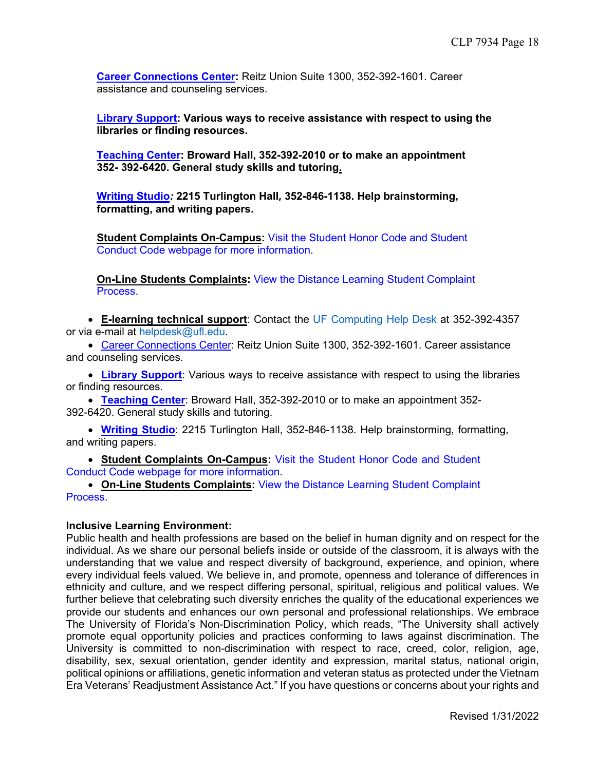**Career Connections Center:** Reitz Union Suite 1300, 352-392-1601. Career assistance and counseling services.

**Library Support: Various ways to receive assistance with respect to using the libraries or finding resources.**

**Teaching Center: Broward Hall, 352-392-2010 or to make an appointment 352- 392-6420. General study skills and tutoring.** 

**Writing Studio***:* **2215 Turlington Hall***,* **352-846-1138. Help brainstorming, formatting, and writing papers.**

**Student Complaints On-Campus:** Visit the Student Honor Code and Student Conduct Code webpage for more information.

**On-Line Students Complaints:** View the Distance Learning Student Complaint Process.

• **E-learning technical support**: Contact the UF Computing Help Desk at 352-392-4357 or via e-mail at helpdesk@ufl.edu.

• Career Connections Center: Reitz Union Suite 1300, 352-392-1601. Career assistance and counseling services.

• **Library Support**: Various ways to receive assistance with respect to using the libraries or finding resources.

• **Teaching Center**: Broward Hall, 352-392-2010 or to make an appointment 352- 392-6420. General study skills and tutoring.

• **Writing Studio**: 2215 Turlington Hall, 352-846-1138. Help brainstorming, formatting, and writing papers.

• **Student Complaints On-Campus:** Visit the Student Honor Code and Student Conduct Code webpage for more information.

• **On-Line Students Complaints:** View the Distance Learning Student Complaint Process.

#### **Inclusive Learning Environment:**

Public health and health professions are based on the belief in human dignity and on respect for the individual. As we share our personal beliefs inside or outside of the classroom, it is always with the understanding that we value and respect diversity of background, experience, and opinion, where every individual feels valued. We believe in, and promote, openness and tolerance of differences in ethnicity and culture, and we respect differing personal, spiritual, religious and political values. We further believe that celebrating such diversity enriches the quality of the educational experiences we provide our students and enhances our own personal and professional relationships. We embrace The University of Florida's Non-Discrimination Policy, which reads, "The University shall actively promote equal opportunity policies and practices conforming to laws against discrimination. The University is committed to non-discrimination with respect to race, creed, color, religion, age, disability, sex, sexual orientation, gender identity and expression, marital status, national origin, political opinions or affiliations, genetic information and veteran status as protected under the Vietnam Era Veterans' Readjustment Assistance Act." If you have questions or concerns about your rights and